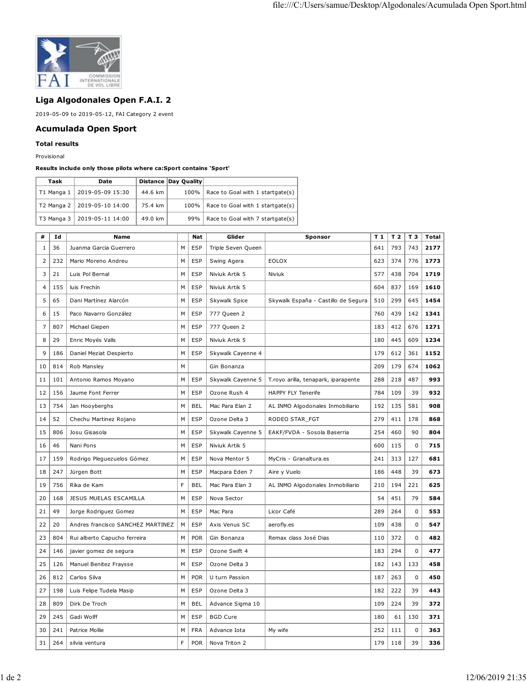

## **Liga Algodonales Open F.A.I. 2**

2019-05-09 to 2019-05-12, FAI Category 2 event

## **Acumulada Open Sport**

## **Total results**

Provisional

## **Results include only those pilots where ca:Sport contains 'Sport'**

| Task       | Date             |         | Distance Day Quality |                                         |
|------------|------------------|---------|----------------------|-----------------------------------------|
| T1 Manga 1 | 2019-05-09 15:30 | 44.6 km |                      | 100%   Race to Goal with 1 startgate(s) |
| T2 Manga 2 | 2019-05-10 14:00 | 75.4 km |                      | 100%   Race to Goal with 1 startgate(s) |
| T3 Manga 3 | 2019-05-11 14:00 | 49.0 km |                      | 99%   Race to Goal with 7 startgate(s)  |

| #              | Id  | <b>Name</b>                       |   | Nat        | Glider             | Sponsor                             | T 1 | T <sub>2</sub> | T 3       | Total |
|----------------|-----|-----------------------------------|---|------------|--------------------|-------------------------------------|-----|----------------|-----------|-------|
| 1              | 36  | Juanma Garcia Guerrero            | M | <b>ESP</b> | Triple Seven Queen |                                     | 641 | 793            | 743       | 2177  |
| 2              | 232 | Mario Moreno Andreu               | М | <b>ESP</b> | Swing Agera        | <b>EOLOX</b>                        | 623 | 374            | 776       | 1773  |
| 3              | 21  | Luis Pol Bernal                   | М | <b>ESP</b> | Niviuk Artik 5     | Niviuk                              | 577 | 438            | 704       | 1719  |
| 4              | 155 | luis Frechín                      | М | <b>ESP</b> | Niviuk Artik 5     |                                     | 604 | 837            | 169       | 1610  |
| 5              | 65  | Dani Martínez Alarcón             | М | <b>ESP</b> | Skywalk Spice      | Skywalk España - Castillo de Segura | 510 | 299            | 645       | 1454  |
| 6              | 15  | Paco Navarro González             | M | <b>ESP</b> | 777 Queen 2        |                                     | 760 | 439            | 142       | 1341  |
| $\overline{7}$ | 807 | Michael Giepen                    | M | <b>ESP</b> | 777 Queen 2        |                                     | 183 | 412            | 676       | 1271  |
| 8              | 29  | Enric Moyés Valls                 | M | <b>ESP</b> | Niviuk Artik 5     |                                     | 180 | 445            | 609       | 1234  |
| 9              | 186 | Daniel Meziat Despierto           | М | <b>ESP</b> | Skywalk Cayenne 4  |                                     | 179 | 612            | 361       | 1152  |
| 10             | 814 | Rob Mansley                       | M |            | Gin Bonanza        |                                     | 209 | 179            | 674       | 1062  |
| 11             | 101 | Antonio Ramos Moyano              | М | <b>ESP</b> | Skywalk Cayenne 5  | T.royo arilla, tenapark, iparapente | 288 | 218            | 487       | 993   |
| 12             | 156 | Jaume Font Ferrer                 | M | <b>ESP</b> | Ozone Rush 4       | <b>HAPPY FLY Tenerife</b>           | 784 | 109            | 39        | 932   |
| 13             | 754 | Jan Hooyberghs                    | М | BEL        | Mac Para Elan 2    | AL INMO Algodonales Inmobiliario    | 192 | 135            | 581       | 908   |
| 14             | 52  | Chechu Martinez Rojano            | М | <b>ESP</b> | Ozone Delta 3      | RODEO STAR_FGT                      | 279 | 411            | 178       | 868   |
| 15             | 806 | Josu Gisasola                     | М | <b>ESP</b> | Skywalk Cayenne 5  | EAKF/FVDA - Sosola Baserria         | 254 | 460            | 90        | 804   |
| 16             | 46  | Nani Pons                         | М | <b>ESP</b> | Niviuk Artik 5     |                                     | 600 | 115            | 0         | 715   |
| 17             | 159 | Rodrigo Pleguezuelos Gómez        | М | <b>ESP</b> | Nova Mentor 5      | MyCris - Granaltura.es              | 241 | 313            | 127       | 681   |
| 18             | 247 | Jürgen Bott                       | М | <b>ESP</b> | Macpara Eden 7     | Aire y Vuelo                        | 186 | 448            | 39        | 673   |
| 19             | 756 | Rika de Kam                       | F | BEL        | Mac Para Elan 3    | AL INMO Algodonales Inmobiliario    | 210 | 194            | 221       | 625   |
| 20             | 168 | JESUS MUELAS ESCAMILLA            | М | <b>ESP</b> | Nova Sector        |                                     | 54  | 451            | 79        | 584   |
| 21             | 49  | Jorge Rodriguez Gomez             | М | <b>ESP</b> | Mac Para           | Licor Café                          | 289 | 264            | 0         | 553   |
| 22             | 20  | Andres francisco SANCHEZ MARTINEZ | M | <b>ESP</b> | Axis Venus SC      | aerofly.es                          | 109 | 438            | 0         | 547   |
| 23             | 804 | Rui alberto Capucho ferreira      | M | <b>POR</b> | Gin Bonanza        | Remax class José Dias               | 110 | 372            | 0         | 482   |
| 24             | 146 | javier gomez de segura            | M | <b>ESP</b> | Ozone Swift 4      |                                     | 183 | 294            | 0         | 477   |
| 25             | 126 | Manuel Benitez Fraysse            | М | <b>ESP</b> | Ozone Delta 3      |                                     | 182 | 143            | 133       | 458   |
| 26             | 812 | Carlos Silva                      | M | <b>POR</b> | U turn Passion     |                                     | 187 | 263            | 0         | 450   |
| 27             | 198 | Luis Felipe Tudela Masip          | M | <b>ESP</b> | Ozone Delta 3      |                                     | 182 | 222            | 39        | 443   |
| 28             | 809 | Dirk De Troch                     | М | BEL        | Advance Sigma 10   |                                     | 109 | 224            | 39        | 372   |
| 29             | 245 | Gadi Wolff                        | М | <b>ESP</b> | <b>BGD Cure</b>    |                                     | 180 | 61             | 130       | 371   |
| 30             | 241 | Patrice Mollie                    | M | <b>FRA</b> | Advance Iota       | My wife                             | 252 | 111            | $\pmb{0}$ | 363   |
| 31             | 264 | silvia ventura                    | F | <b>POR</b> | Nova Triton 2      |                                     | 179 | 118            | 39        | 336   |